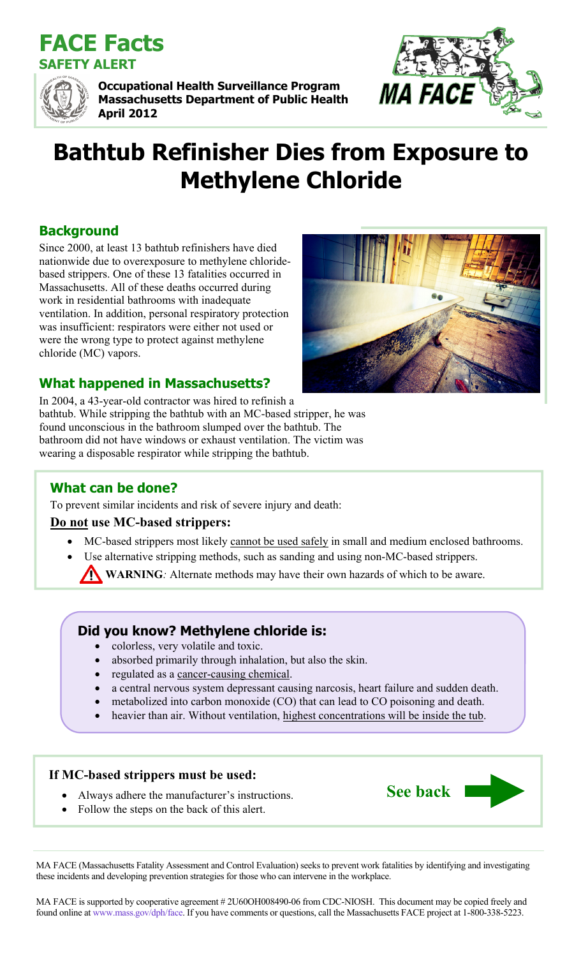



**Occupational Health Surveillance Program Massachusetts Department of Public Health April 2012** 



# **Bathtub Refinisher Dies from Exposure to Methylene Chloride**

# **Background**

Since 2000, at least 13 bathtub refinishers have died nationwide due to overexposure to methylene chloridebased strippers. One of these 13 fatalities occurred in Massachusetts. All of these deaths occurred during work in residential bathrooms with inadequate ventilation. In addition, personal respiratory protection was insufficient: respirators were either not used or were the wrong type to protect against methylene chloride (MC) vapors.



**See back** 

# **What happened in Massachusetts?**

In 2004, a 43-year-old contractor was hired to refinish a bathtub. While stripping the bathtub with an MC-based stripper, he was found unconscious in the bathroom slumped over the bathtub. The bathroom did not have windows or exhaust ventilation. The victim was wearing a disposable respirator while stripping the bathtub.

# **What can be done?**

To prevent similar incidents and risk of severe injury and death:

## **Do not use MC-based strippers:**

- MC-based strippers most likely cannot be used safely in small and medium enclosed bathrooms.
- Use alternative stripping methods, such as sanding and using non-MC-based strippers.
	- **WARNING***:* Alternate methods may have their own hazards of which to be aware.

# **Did you know? Methylene chloride is:**

- colorless, very volatile and toxic.
- absorbed primarily through inhalation, but also the skin.
- regulated as a cancer-causing chemical.
- a central nervous system depressant causing narcosis, heart failure and sudden death.
- metabolized into carbon monoxide (CO) that can lead to CO poisoning and death.
- heavier than air. Without ventilation, highest concentrations will be inside the tub.

## **If MC-based strippers must be used:**

- Always adhere the manufacturer's instructions.
- Follow the steps on the back of this alert.

MA FACE (Massachusetts Fatality Assessment and Control Evaluation) seeks to prevent work fatalities by identifying and investigating these incidents and developing prevention strategies for those who can intervene in the workplace.

MA FACE is supported by cooperative agreement #2U60OH008490-06 from CDC-NIOSH. This document may be copied freely and found online at www.mass.gov/dph/face. If you have comments or questions, call the Massachusetts FACE project at 1-800-338-5223.